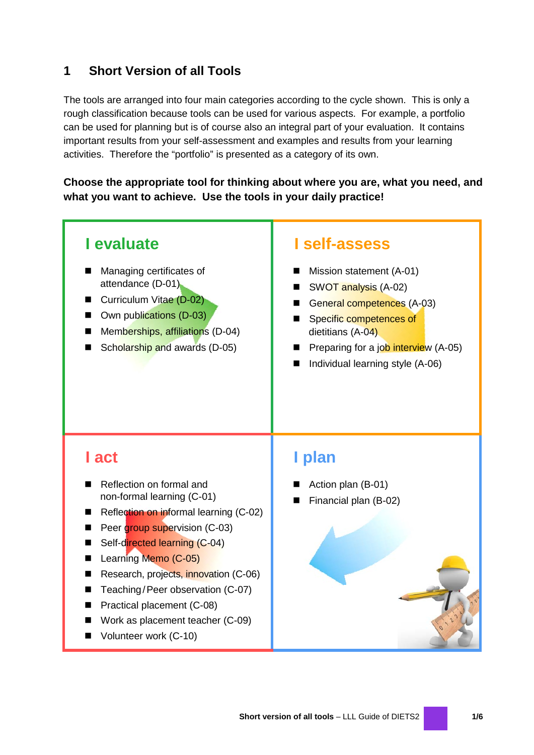# **1 Short Version of all Tools**

The tools are arranged into four main categories according to the cycle shown. This is only a rough classification because tools can be used for various aspects. For example, a portfolio can be used for planning but is of course also an integral part of your evaluation. It contains important results from your self-assessment and examples and results from your learning activities. Therefore the "portfolio" is presented as a category of its own.

**Choose the appropriate tool for thinking about where you are, what you need, and what you want to achieve. Use the tools in your daily practice!**



- Research, projects, innovation (C-06)
- Teaching/Peer observation (C-07)
- **Practical placement (C-08)**
- Work as placement teacher (C-09)
- Volunteer work (C-10)

## **Short version of all tools** – LLL Guide of DIETS2 **1/6**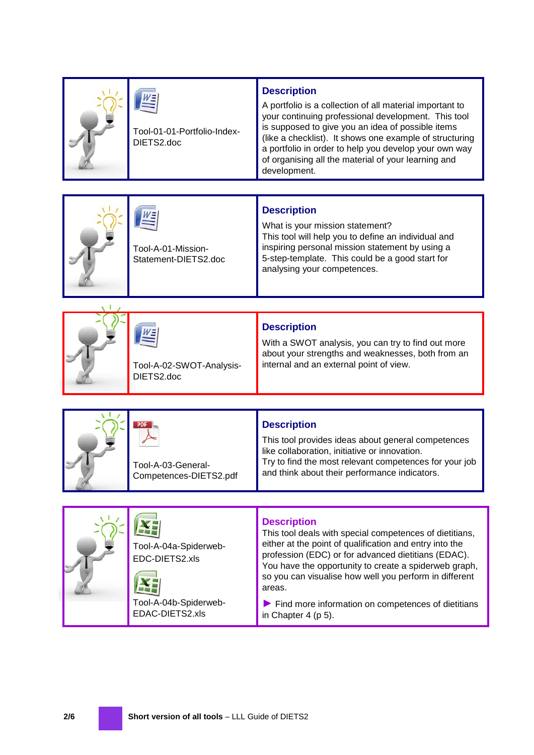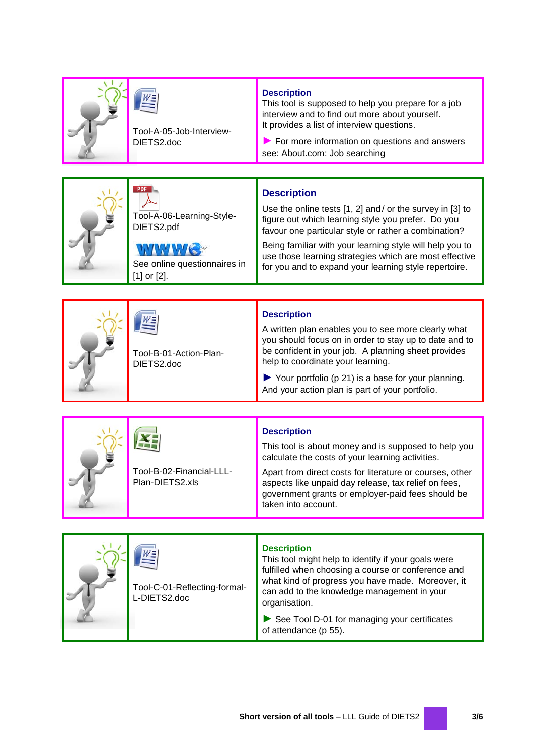|  | Tool-A-05-Job-Interview-<br>DIETS2.doc                                                                    | <b>Description</b><br>This tool is supposed to help you prepare for a job<br>interview and to find out more about yourself.<br>It provides a list of interview questions.<br>For more information on questions and answers<br>see: About.com: Job searching                                                                                                                    |  |  |  |
|--|-----------------------------------------------------------------------------------------------------------|--------------------------------------------------------------------------------------------------------------------------------------------------------------------------------------------------------------------------------------------------------------------------------------------------------------------------------------------------------------------------------|--|--|--|
|  |                                                                                                           |                                                                                                                                                                                                                                                                                                                                                                                |  |  |  |
|  | <b>PDF</b><br>Tool-A-06-Learning-Style-<br>DIETS2.pdf<br>See online questionnaires in<br>$[1]$ or $[2]$ . | <b>Description</b><br>Use the online tests $[1, 2]$ and/or the survey in $[3]$ to<br>figure out which learning style you prefer. Do you<br>favour one particular style or rather a combination?<br>Being familiar with your learning style will help you to<br>use those learning strategies which are most effective<br>for you and to expand your learning style repertoire. |  |  |  |
|  |                                                                                                           |                                                                                                                                                                                                                                                                                                                                                                                |  |  |  |
|  | Tool-B-01-Action-Plan-<br>DIETS2.doc                                                                      | <b>Description</b><br>A written plan enables you to see more clearly what<br>you should focus on in order to stay up to date and to<br>be confident in your job. A planning sheet provides<br>help to coordinate your learning.<br>$\blacktriangleright$ Your portfolio (p 21) is a base for your planning.<br>And your action plan is part of your portfolio.                 |  |  |  |
|  |                                                                                                           |                                                                                                                                                                                                                                                                                                                                                                                |  |  |  |
|  | Tool-B-02-Financial-LLL-<br>Plan-DIETS2.xls                                                               | <b>Description</b><br>This tool is about money and is supposed to help you<br>calculate the costs of your learning activities.<br>Apart from direct costs for literature or courses, other<br>aspects like unpaid day release, tax relief on fees,<br>government grants or employer-paid fees should be<br>taken into account.                                                 |  |  |  |
|  |                                                                                                           |                                                                                                                                                                                                                                                                                                                                                                                |  |  |  |
|  | Tool-C-01-Reflecting-formal-<br>L-DIETS2.doc                                                              | <b>Description</b><br>This tool might help to identify if your goals were<br>fulfilled when choosing a course or conference and<br>what kind of progress you have made. Moreover, it<br>can add to the knowledge management in your<br>organisation.<br>See Tool D-01 for managing your certificates<br>of attendance (p 55).                                                  |  |  |  |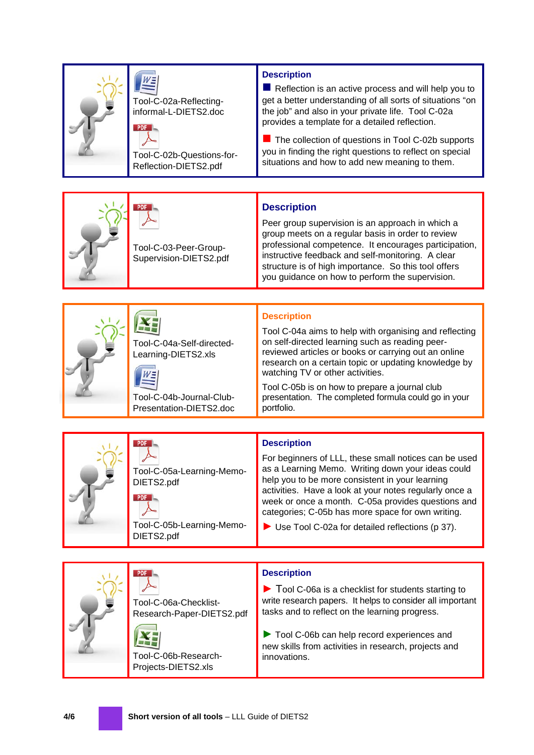|  | Tool-C-02a-Reflecting-<br>informal-L-DIETS2.doc<br><b>PDF</b><br>Tool-C-02b-Questions-for-<br>Reflection-DIETS2.pdf | <b>Description</b><br>Reflection is an active process and will help you to<br>get a better understanding of all sorts of situations "on<br>the job" and also in your private life. Tool C-02a<br>provides a template for a detailed reflection.<br>The collection of questions in Tool C-02b supports<br>you in finding the right questions to reflect on special<br>situations and how to add new meaning to them.               |  |  |
|--|---------------------------------------------------------------------------------------------------------------------|-----------------------------------------------------------------------------------------------------------------------------------------------------------------------------------------------------------------------------------------------------------------------------------------------------------------------------------------------------------------------------------------------------------------------------------|--|--|
|  |                                                                                                                     |                                                                                                                                                                                                                                                                                                                                                                                                                                   |  |  |
|  | <b>PDF</b><br>Tool-C-03-Peer-Group-<br>Supervision-DIETS2.pdf                                                       | <b>Description</b><br>Peer group supervision is an approach in which a<br>group meets on a regular basis in order to review<br>professional competence. It encourages participation,<br>instructive feedback and self-monitoring. A clear<br>structure is of high importance. So this tool offers<br>you guidance on how to perform the supervision.                                                                              |  |  |
|  |                                                                                                                     |                                                                                                                                                                                                                                                                                                                                                                                                                                   |  |  |
|  | Tool-C-04a-Self-directed-<br>Learning-DIETS2.xls<br>Tool-C-04b-Journal-Club-                                        | <b>Description</b><br>Tool C-04a aims to help with organising and reflecting<br>on self-directed learning such as reading peer-<br>reviewed articles or books or carrying out an online<br>research on a certain topic or updating knowledge by<br>watching TV or other activities.<br>Tool C-05b is on how to prepare a journal club<br>presentation. The completed formula could go in your                                     |  |  |
|  | Presentation-DIETS2.doc                                                                                             | portfolio.                                                                                                                                                                                                                                                                                                                                                                                                                        |  |  |
|  |                                                                                                                     |                                                                                                                                                                                                                                                                                                                                                                                                                                   |  |  |
|  | <b>PDF</b><br>Tool-C-05a-Learning-Memo-<br>DIETS2.pdf<br><b>PDF</b><br>Tool-C-05b-Learning-Memo-<br>DIETS2.pdf      | <b>Description</b><br>For beginners of LLL, these small notices can be used<br>as a Learning Memo. Writing down your ideas could<br>help you to be more consistent in your learning<br>activities. Have a look at your notes regularly once a<br>week or once a month. C-05a provides questions and<br>categories; C-05b has more space for own writing.<br>$\blacktriangleright$ Use Tool C-02a for detailed reflections (p 37). |  |  |
|  |                                                                                                                     |                                                                                                                                                                                                                                                                                                                                                                                                                                   |  |  |
|  | PDF  <br>Tool-C-06a-Checklist-<br>Research-Paper-DIETS2.pdf<br>Tool-C-06b-Research-<br>Projects-DIETS2.xls          | <b>Description</b><br>$\blacktriangleright$ Tool C-06a is a checklist for students starting to<br>write research papers. It helps to consider all important<br>tasks and to reflect on the learning progress.<br>Tool C-06b can help record experiences and<br>new skills from activities in research, projects and<br>innovations.                                                                                               |  |  |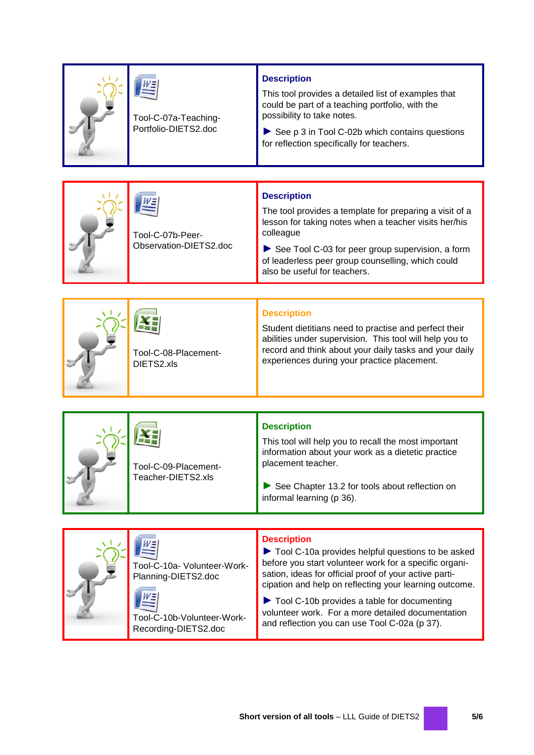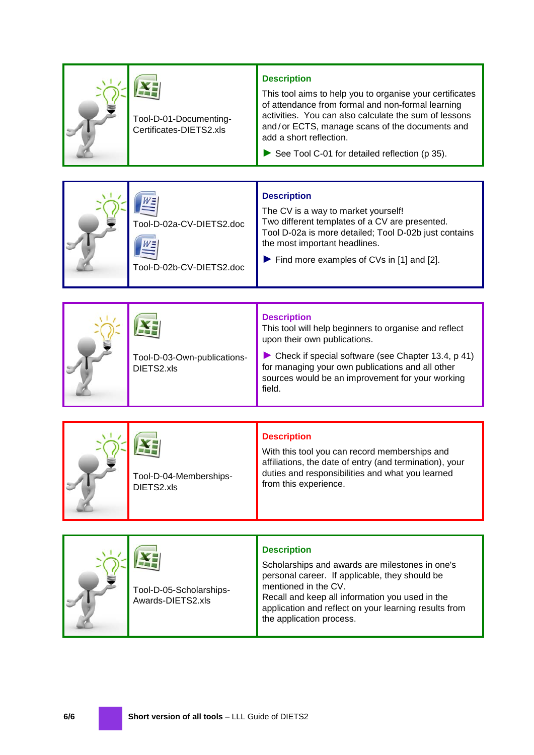|  | Tool-D-01-Documenting-<br>Certificates-DIETS2.xls    | <b>Description</b><br>This tool aims to help you to organise your certificates<br>of attendance from formal and non-formal learning<br>activities. You can also calculate the sum of lessons<br>and/or ECTS, manage scans of the documents and<br>add a short reflection.<br>See Tool C-01 for detailed reflection (p 35). |  |  |  |
|--|------------------------------------------------------|----------------------------------------------------------------------------------------------------------------------------------------------------------------------------------------------------------------------------------------------------------------------------------------------------------------------------|--|--|--|
|  |                                                      |                                                                                                                                                                                                                                                                                                                            |  |  |  |
|  | Tool-D-02a-CV-DIETS2.doc<br>Tool-D-02b-CV-DIETS2.doc | <b>Description</b><br>The CV is a way to market yourself!<br>Two different templates of a CV are presented.<br>Tool D-02a is more detailed; Tool D-02b just contains<br>the most important headlines.<br>$\blacktriangleright$ Find more examples of CVs in [1] and [2].                                                   |  |  |  |
|  |                                                      |                                                                                                                                                                                                                                                                                                                            |  |  |  |
|  | Tool-D-03-Own-publications-<br>DIETS2.xls            | <b>Description</b><br>This tool will help beginners to organise and reflect<br>upon their own publications.<br>Check if special software (see Chapter 13.4, p 41)<br>for managing your own publications and all other<br>sources would be an improvement for your working<br>field.                                        |  |  |  |
|  |                                                      |                                                                                                                                                                                                                                                                                                                            |  |  |  |
|  | Tool-D-04-Memberships-<br>DIFTS2 vls                 | <b>Description</b><br>With this tool you can record memberships and<br>affiliations, the date of entry (and termination), your<br>duties and responsibilities and what you learned<br>from this experience.                                                                                                                |  |  |  |

DIETS2.xls